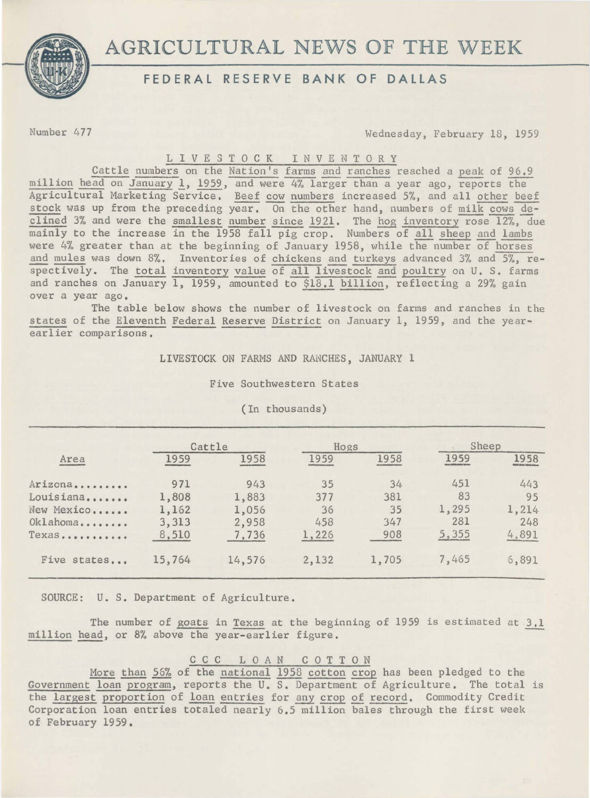AGRICULTURAL NEWS OF THE WEEK



# **FEDERAL RESERVE BANK OF DALLAS**

Number 477 Wednesday, February 18, 1959

### L I V E S T 0 C K I N V E N T 0 R Y

Cattle numbers on the Nation's farms and ranches reached a peak of 96.9 million head on January 1, 1959, and were 4% larger than a year ago, reports the Agricultural Marketing Service, Beef cow numbers increased 5%, and all other beef stock was up from the preceding year, On the other hand, numbers of milk cows declined 3% and were the smallest number since 1921. The hog inventory rose  $12\%$ , due mainly to the increase in the 1958 fall pig crop. Numbers of all sheep and lambs were 4% greater than at the beginning of January 1958, while the number of horses and mules was down 8%. Inventories of chickens and turkeys advanced 3% and 5%, respectively. The total inventory value of all livestock and poultry on U. s. farms and ranches on January 1, 1959, amounted to  $$18.1$  billion, reflecting a 29% gain over a year ago.

The table below shows the number of livestock on farms and ranches in the states of the Eleventh Federal Reserve District on January 1, 1959, and the yearearlier comparisons,

LIVESTOCK ON FARMS AND RANCHES, JANUARY 1

Five Southwestern States

| Area        | Cattle |        | Hogs  |       | Sheep |       |
|-------------|--------|--------|-------|-------|-------|-------|
|             | 1959   | 1958   | 1959  | 1958  | 1959  | 1958  |
| Arizona     | 971    | 943    | 35    | 34    | 451   | 443   |
| Louisiana   | 1,808  | 1,883  | 377   | 381   | 83    | 95    |
| New Mexico  | 1,162  | 1,056  | 36    | 35    | 1,295 | 1,214 |
| Oklahoma    | 3,313  | 2,958  | 458   | 347   | 281   | 248   |
| Texas       | 8,510  | 7,736  | 1,226 | 908   | 5,355 | 4,891 |
| Five states | 15,764 | 14,576 | 2,132 | 1,705 | 7,465 | 6,891 |

(In thousands)

SOURCE: U. S. Department of Agriculture.

The number of goats in Texas at the beginning of 1959 is estimated at 3,1 million head, or 8% above the year-earlier figure.

### c c c L 0 AN COTTON

More than 56% of the national 1958 cotton crop has been pledged to the Government loan program, reports the U. s. Department of Agriculture. The total is the largest proportion of loan entries for any crop of record. Commodity Credit Corporation loan entries totaled nearly 6.5 million bales through the first week of February 1959.